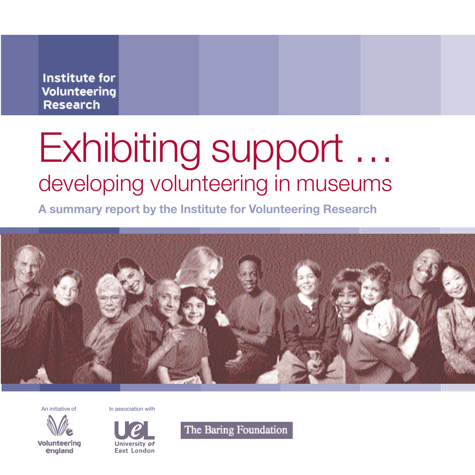**Institute for** Volunteering **Research** 

# Exhibiting support … developing volunteering in museums

**A summary report by the Institute for Volunteering Research**



An initiative of **In association with** 



Volunteering england



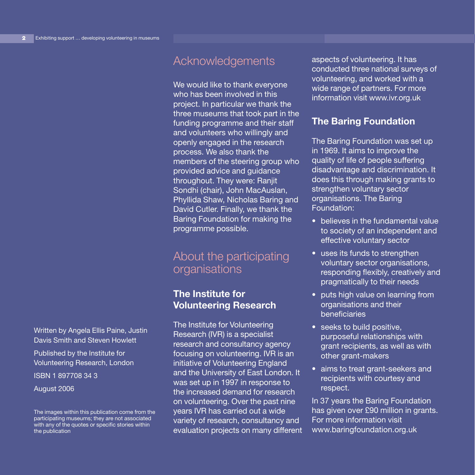Written by Angela Ellis Paine, Justin Davis Smith and Steven Howlett Published by the Institute for Volunteering Research, London

ISBN 1 897708 34 3

August 2006

# Acknowledgements

We would like to thank everyone who has been involved in this project. In particular we thank the three museums that took part in the funding programme and their staff and volunteers who willingly and openly engaged in the research process. We also thank the members of the steering group who provided advice and guidance throughout. They were: Ranjit Sondhi (chair), John MacAuslan, Phyllida Shaw, Nicholas Baring and David Cutler. Finally, we thank the Baring Foundation for making the programme possible.

# About the participating organisations

### **The Institute for Volunteering Research**

The Institute for Volunteering Research (IVR) is a specialist research and consultancy agency focusing on volunteering. IVR is an initiative of Volunteering England and the University of East London. It was set up in 1997 in response to the increased demand for research on volunteering. Over the past nine years IVR has carried out a wide variety of research, consultancy and evaluation projects on many different aspects of volunteering. It has conducted three national surveys of volunteering, and worked with a wide range of partners. For more information visit www.ivr.org.uk

#### **The Baring Foundation**

The Baring Foundation was set up in 1969. It aims to improve the quality of life of people suffering disadvantage and discrimination. It does this through making grants to strengthen voluntary sector organisations. The Baring Foundation:

- believes in the fundamental value to society of an independent and effective voluntary sector
- uses its funds to strengthen voluntary sector organisations, responding flexibly, creatively and pragmatically to their needs
- puts high value on learning from organisations and their beneficiaries
- seeks to build positive, purposeful relationships with grant recipients, as well as with other grant-makers
- aims to treat grant-seekers and recipients with courtesy and respect.

In 37 years the Baring Foundation has given over £90 million in grants. For more information visit www.baringfoundation.org.uk

The images within this publication come from the participating museums; they are not associated with any of the quotes or specific stories within the publication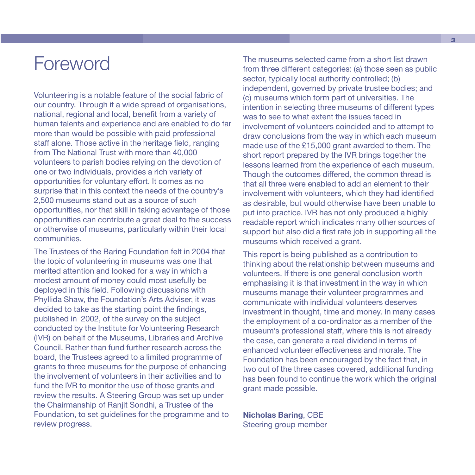# Foreword

Volunteering is a notable feature of the social fabric of our country. Through it a wide spread of organisations, national, regional and local, benefit from a variety of human talents and experience and are enabled to do far more than would be possible with paid professional staff alone. Those active in the heritage field, ranging from The National Trust with more than 40,000 volunteers to parish bodies relying on the devotion of one or two individuals, provides a rich variety of opportunities for voluntary effort. It comes as no surprise that in this context the needs of the country's 2,500 museums stand out as a source of such opportunities, nor that skill in taking advantage of those opportunities can contribute a great deal to the success or otherwise of museums, particularly within their local communities.

The Trustees of the Baring Foundation felt in 2004 that the topic of volunteering in museums was one that merited attention and looked for a way in which a modest amount of money could most usefully be deployed in this field. Following discussions with Phyllida Shaw, the Foundation's Arts Adviser, it was decided to take as the starting point the findings, published in 2002, of the survey on the subject conducted by the Institute for Volunteering Research (IVR) on behalf of the Museums, Libraries and Archive Council. Rather than fund further research across the board, the Trustees agreed to a limited programme of grants to three museums for the purpose of enhancing the involvement of volunteers in their activities and to fund the IVR to monitor the use of those grants and review the results. A Steering Group was set up under the Chairmanship of Ranjit Sondhi, a Trustee of the Foundation, to set guidelines for the programme and to review progress.

The museums selected came from a short list drawn from three different categories: (a) those seen as public sector, typically local authority controlled; (b) independent, governed by private trustee bodies; and (c) museums which form part of universities. The intention in selecting three museums of different types was to see to what extent the issues faced in involvement of volunteers coincided and to attempt to draw conclusions from the way in which each museum made use of the £15,000 grant awarded to them. The short report prepared by the IVR brings together the lessons learned from the experience of each museum. Though the outcomes differed, the common thread is that all three were enabled to add an element to their involvement with volunteers, which they had identified as desirable, but would otherwise have been unable to put into practice. IVR has not only produced a highly readable report which indicates many other sources of support but also did a first rate job in supporting all the museums which received a grant.

This report is being published as a contribution to thinking about the relationship between museums and volunteers. If there is one general conclusion worth emphasising it is that investment in the way in which museums manage their volunteer programmes and communicate with individual volunteers deserves investment in thought, time and money. In many cases the employment of a co-ordinator as a member of the museum's professional staff, where this is not already the case, can generate a real dividend in terms of enhanced volunteer effectiveness and morale. The Foundation has been encouraged by the fact that, in two out of the three cases covered, additional funding has been found to continue the work which the original grant made possible.

**Nicholas Baring**, CBE Steering group member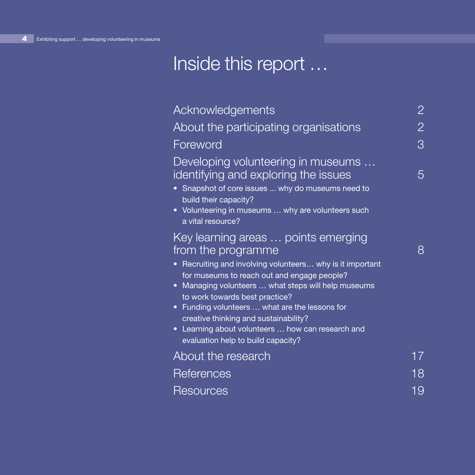# Inside this report …

| Acknowledgements                                                                                                                                                                                                                                                                                                                                                                                                                                                | 2  |
|-----------------------------------------------------------------------------------------------------------------------------------------------------------------------------------------------------------------------------------------------------------------------------------------------------------------------------------------------------------------------------------------------------------------------------------------------------------------|----|
| About the participating organisations                                                                                                                                                                                                                                                                                                                                                                                                                           | 2  |
| Foreword                                                                                                                                                                                                                                                                                                                                                                                                                                                        | 3  |
| Developing volunteering in museums<br>identifying and exploring the issues<br>• Snapshot of core issues  why do museums need to<br>build their capacity?<br>• Volunteering in museums  why are volunteers such<br>a vital resource?                                                                                                                                                                                                                             | 5  |
| Key learning areas  points emerging<br>from the programme<br>Recruiting and involving volunteers why is it important<br>$\bullet$<br>for museums to reach out and engage people?<br>• Managing volunteers  what steps will help museums<br>to work towards best practice?<br>• Funding volunteers  what are the lessons for<br>creative thinking and sustainability?<br>• Learning about volunteers  how can research and<br>evaluation help to build capacity? | 8  |
| About the research                                                                                                                                                                                                                                                                                                                                                                                                                                              | 17 |
| References                                                                                                                                                                                                                                                                                                                                                                                                                                                      | 18 |
| Resources                                                                                                                                                                                                                                                                                                                                                                                                                                                       | 19 |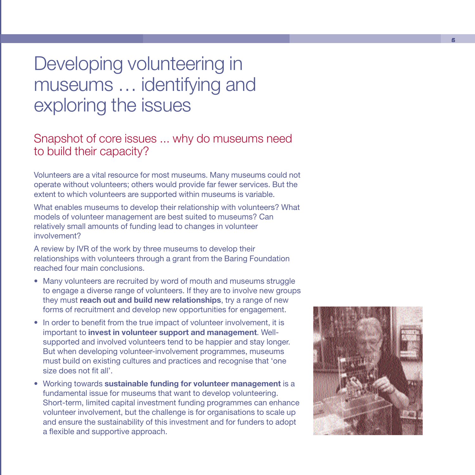# Developing volunteering in museums … identifying and exploring the issues

# Snapshot of core issues ... why do museums need to build their capacity?

Volunteers are a vital resource for most museums. Many museums could not operate without volunteers; others would provide far fewer services. But the extent to which volunteers are supported within museums is variable.

What enables museums to develop their relationship with volunteers? What models of volunteer management are best suited to museums? Can relatively small amounts of funding lead to changes in volunteer involvement?

A review by IVR of the work by three museums to develop their relationships with volunteers through a grant from the Baring Foundation reached four main conclusions.

- Many volunteers are recruited by word of mouth and museums struggle to engage a diverse range of volunteers. If they are to involve new groups they must **reach out and build new relationships**, try a range of new forms of recruitment and develop new opportunities for engagement.
- In order to benefit from the true impact of volunteer involvement, it is important to **invest in volunteer support and management**. Wellsupported and involved volunteers tend to be happier and stay longer. But when developing volunteer-involvement programmes, museums must build on existing cultures and practices and recognise that 'one size does not fit all'.
- Working towards **sustainable funding for volunteer management** is a fundamental issue for museums that want to develop volunteering. Short-term, limited capital investment funding programmes can enhance volunteer involvement, but the challenge is for organisations to scale up and ensure the sustainability of this investment and for funders to adopt a flexible and supportive approach.

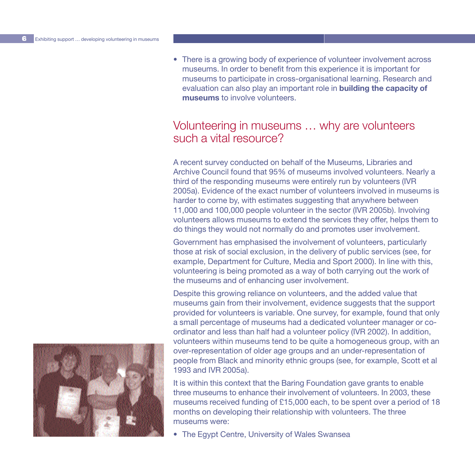• There is a growing body of experience of volunteer involvement across museums. In order to benefit from this experience it is important for museums to participate in cross-organisational learning. Research and evaluation can also play an important role in **building the capacity of museums** to involve volunteers.

### Volunteering in museums … why are volunteers such a vital resource?

A recent survey conducted on behalf of the Museums, Libraries and Archive Council found that 95% of museums involved volunteers. Nearly a third of the responding museums were entirely run by volunteers (IVR 2005a). Evidence of the exact number of volunteers involved in museums is harder to come by, with estimates suggesting that anywhere between 11,000 and 100,000 people volunteer in the sector (IVR 2005b). Involving volunteers allows museums to extend the services they offer, helps them to do things they would not normally do and promotes user involvement.

Government has emphasised the involvement of volunteers, particularly those at risk of social exclusion, in the delivery of public services (see, for example, Department for Culture, Media and Sport 2000). In line with this, volunteering is being promoted as a way of both carrying out the work of the museums and of enhancing user involvement.

Despite this growing reliance on volunteers, and the added value that museums gain from their involvement, evidence suggests that the support provided for volunteers is variable. One survey, for example, found that only a small percentage of museums had a dedicated volunteer manager or coordinator and less than half had a volunteer policy (IVR 2002). In addition, volunteers within museums tend to be quite a homogeneous group, with an over-representation of older age groups and an under-representation of people from Black and minority ethnic groups (see, for example, Scott et al 1993 and IVR 2005a).

It is within this context that the Baring Foundation gave grants to enable three museums to enhance their involvement of volunteers. In 2003, these museums received funding of £15,000 each, to be spent over a period of 18 months on developing their relationship with volunteers. The three museums were:

• The Egypt Centre, University of Wales Swansea

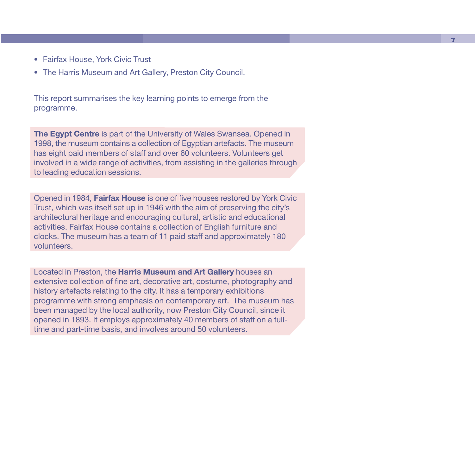- Fairfax House, York Civic Trust
- The Harris Museum and Art Gallery, Preston City Council.

This report summarises the key learning points to emerge from the programme.

**The Egypt Centre** is part of the University of Wales Swansea. Opened in 1998, the museum contains a collection of Egyptian artefacts. The museum has eight paid members of staff and over 60 volunteers. Volunteers get involved in a wide range of activities, from assisting in the galleries through to leading education sessions.

Opened in 1984, **Fairfax House** is one of five houses restored by York Civic Trust, which was itself set up in 1946 with the aim of preserving the city's architectural heritage and encouraging cultural, artistic and educational activities. Fairfax House contains a collection of English furniture and clocks. The museum has a team of 11 paid staff and approximately 180 volunteers.

Located in Preston, the **Harris Museum and Art Gallery** houses an extensive collection of fine art, decorative art, costume, photography and history artefacts relating to the city. It has a temporary exhibitions programme with strong emphasis on contemporary art. The museum has been managed by the local authority, now Preston City Council, since it opened in 1893. It employs approximately 40 members of staff on a fulltime and part-time basis, and involves around 50 volunteers.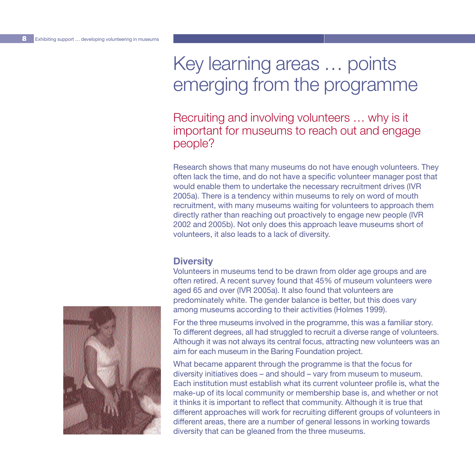# Key learning areas … points emerging from the programme

## Recruiting and involving volunteers … why is it important for museums to reach out and engage people?

Research shows that many museums do not have enough volunteers. They often lack the time, and do not have a specific volunteer manager post that would enable them to undertake the necessary recruitment drives (IVR 2005a). There is a tendency within museums to rely on word of mouth recruitment, with many museums waiting for volunteers to approach them directly rather than reaching out proactively to engage new people (IVR 2002 and 2005b). Not only does this approach leave museums short of volunteers, it also leads to a lack of diversity.

#### **Diversity**

Volunteers in museums tend to be drawn from older age groups and are often retired. A recent survey found that 45% of museum volunteers were aged 65 and over (IVR 2005a). It also found that volunteers are predominately white. The gender balance is better, but this does vary among museums according to their activities (Holmes 1999).

For the three museums involved in the programme, this was a familiar story. To different degrees, all had struggled to recruit a diverse range of volunteers. Although it was not always its central focus, attracting new volunteers was an aim for each museum in the Baring Foundation project.

What became apparent through the programme is that the focus for diversity initiatives does – and should – vary from museum to museum. Each institution must establish what its current volunteer profile is, what the make-up of its local community or membership base is, and whether or not it thinks it is important to reflect that community. Although it is true that different approaches will work for recruiting different groups of volunteers in different areas, there are a number of general lessons in working towards diversity that can be gleaned from the three museums.

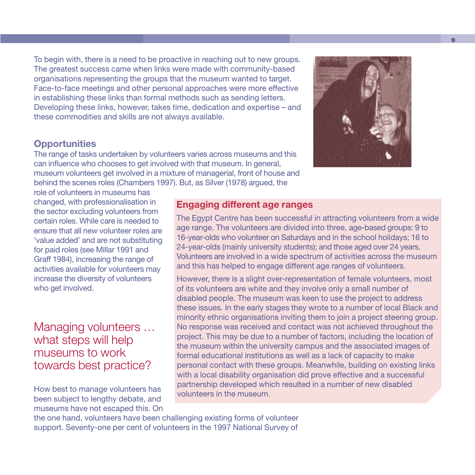To begin with, there is a need to be proactive in reaching out to new groups. The greatest success came when links were made with community-based organisations representing the groups that the museum wanted to target. Face-to-face meetings and other personal approaches were more effective in establishing these links than formal methods such as sending letters. Developing these links, however, takes time, dedication and expertise – and these commodities and skills are not always available.

#### **Opportunities**

The range of tasks undertaken by volunteers varies across museums and this can influence who chooses to get involved with that museum. In general, museum volunteers get involved in a mixture of managerial, front of house and behind the scenes roles (Chambers 1997). But, as Silver (1978) argued, the

role of volunteers in museums has changed, with professionalisation in the sector excluding volunteers from certain roles. While care is needed to ensure that all new volunteer roles are 'value added' and are not substituting for paid roles (see Millar 1991 and Graff 1984), increasing the range of activities available for volunteers may increase the diversity of volunteers who get involved.

## Managing volunteers … what steps will help museums to work towards best practice?

How best to manage volunteers has been subject to lengthy debate, and museums have not escaped this. On

#### **Engaging different age ranges**

The Egypt Centre has been successful in attracting volunteers from a wide age range. The volunteers are divided into three, age-based groups: 9 to 16-year-olds who volunteer on Saturdays and in the school holidays; 16 to 24-year-olds (mainly university students); and those aged over 24 years. Volunteers are involved in a wide spectrum of activities across the museum and this has helped to engage different age ranges of volunteers.

However, there is a slight over-representation of female volunteers, most of its volunteers are white and they involve only a small number of disabled people. The museum was keen to use the project to address these issues. In the early stages they wrote to a number of local Black and minority ethnic organisations inviting them to join a project steering group. No response was received and contact was not achieved throughout the project. This may be due to a number of factors, including the location of the museum within the university campus and the associated images of formal educational institutions as well as a lack of capacity to make personal contact with these groups. Meanwhile, building on existing links with a local disability organisation did prove effective and a successful partnership developed which resulted in a number of new disabled volunteers in the museum.

the one hand, volunteers have been challenging existing forms of volunteer support. Seventy-one per cent of volunteers in the 1997 National Survey of

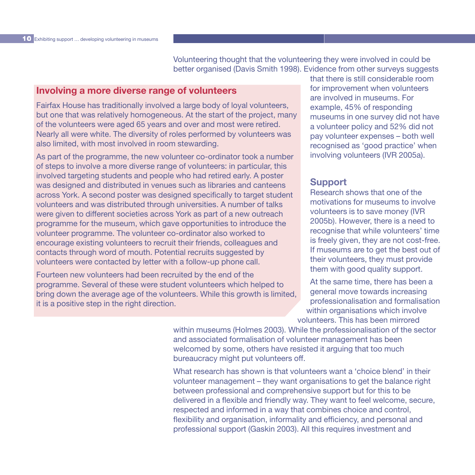Volunteering thought that the volunteering they were involved in could be better organised (Davis Smith 1998). Evidence from other surveys suggests

#### **Involving a more diverse range of volunteers**

Fairfax House has traditionally involved a large body of loyal volunteers, but one that was relatively homogeneous. At the start of the project, many of the volunteers were aged 65 years and over and most were retired. Nearly all were white. The diversity of roles performed by volunteers was also limited, with most involved in room stewarding.

As part of the programme, the new volunteer co-ordinator took a number of steps to involve a more diverse range of volunteers: in particular, this involved targeting students and people who had retired early. A poster was designed and distributed in venues such as libraries and canteens across York. A second poster was designed specifically to target student volunteers and was distributed through universities. A number of talks were given to different societies across York as part of a new outreach programme for the museum, which gave opportunities to introduce the volunteer programme. The volunteer co-ordinator also worked to encourage existing volunteers to recruit their friends, colleagues and contacts through word of mouth. Potential recruits suggested by volunteers were contacted by letter with a follow-up phone call.

Fourteen new volunteers had been recruited by the end of the programme. Several of these were student volunteers which helped to bring down the average age of the volunteers. While this growth is limited, it is a positive step in the right direction.

that there is still considerable room for improvement when volunteers are involved in museums. For example, 45% of responding museums in one survey did not have a volunteer policy and 52% did not pay volunteer expenses – both well recognised as 'good practice' when involving volunteers (IVR 2005a).

#### **Support**

Research shows that one of the motivations for museums to involve volunteers is to save money (IVR 2005b). However, there is a need to recognise that while volunteers' time is freely given, they are not cost-free. If museums are to get the best out of their volunteers, they must provide them with good quality support.

At the same time, there has been a general move towards increasing professionalisation and formalisation within organisations which involve volunteers. This has been mirrored

within museums (Holmes 2003). While the professionalisation of the sector and associated formalisation of volunteer management has been welcomed by some, others have resisted it arguing that too much bureaucracy might put volunteers off.

What research has shown is that volunteers want a 'choice blend' in their volunteer management – they want organisations to get the balance right between professional and comprehensive support but for this to be delivered in a flexible and friendly way. They want to feel welcome, secure, respected and informed in a way that combines choice and control, flexibility and organisation, informality and efficiency, and personal and professional support (Gaskin 2003). All this requires investment and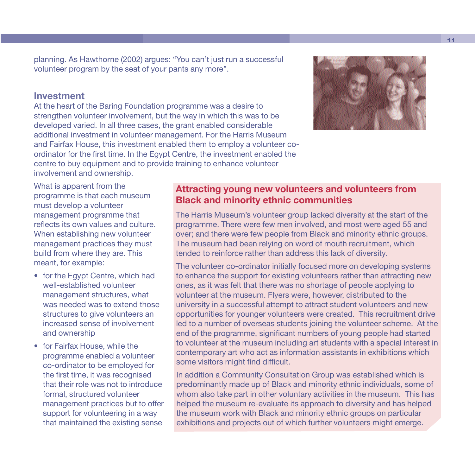planning. As Hawthorne (2002) argues: "You can't just run a successful volunteer program by the seat of your pants any more".

#### **Investment**

At the heart of the Baring Foundation programme was a desire to strengthen volunteer involvement, but the way in which this was to be developed varied. In all three cases, the grant enabled considerable additional investment in volunteer management. For the Harris Museum and Fairfax House, this investment enabled them to employ a volunteer coordinator for the first time. In the Egypt Centre, the investment enabled the centre to buy equipment and to provide training to enhance volunteer involvement and ownership.



What is apparent from the programme is that each museum must develop a volunteer management programme that reflects its own values and culture. When establishing new volunteer management practices they must build from where they are. This meant, for example:

- for the Egypt Centre, which had well-established volunteer management structures, what was needed was to extend those structures to give volunteers an increased sense of involvement and ownership
- for Fairfax House, while the programme enabled a volunteer co-ordinator to be employed for the first time, it was recognised that their role was not to introduce formal, structured volunteer management practices but to offer support for volunteering in a way that maintained the existing sense

#### **Attracting young new volunteers and volunteers from Black and minority ethnic communities**

The Harris Museum's volunteer group lacked diversity at the start of the programme. There were few men involved, and most were aged 55 and over; and there were few people from Black and minority ethnic groups. The museum had been relying on word of mouth recruitment, which tended to reinforce rather than address this lack of diversity.

The volunteer co-ordinator initially focused more on developing systems to enhance the support for existing volunteers rather than attracting new ones, as it was felt that there was no shortage of people applying to volunteer at the museum. Flyers were, however, distributed to the university in a successful attempt to attract student volunteers and new opportunities for younger volunteers were created. This recruitment drive led to a number of overseas students joining the volunteer scheme. At the end of the programme, significant numbers of young people had started to volunteer at the museum including art students with a special interest in contemporary art who act as information assistants in exhibitions which some visitors might find difficult.

In addition a Community Consultation Group was established which is predominantly made up of Black and minority ethnic individuals, some of whom also take part in other voluntary activities in the museum. This has helped the museum re-evaluate its approach to diversity and has helped the museum work with Black and minority ethnic groups on particular exhibitions and projects out of which further volunteers might emerge.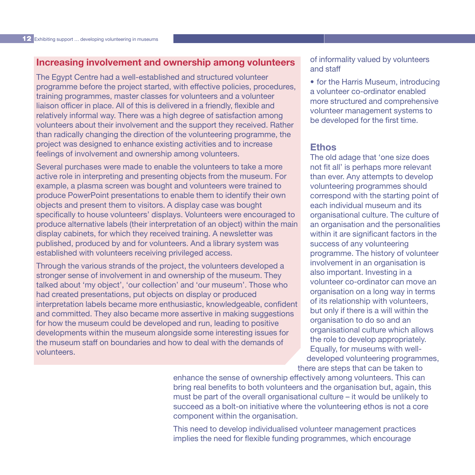#### **Increasing involvement and ownership among volunteers**

The Egypt Centre had a well-established and structured volunteer programme before the project started, with effective policies, procedures, training programmes, master classes for volunteers and a volunteer liaison officer in place. All of this is delivered in a friendly, flexible and relatively informal way. There was a high degree of satisfaction among volunteers about their involvement and the support they received. Rather than radically changing the direction of the volunteering programme, the project was designed to enhance existing activities and to increase feelings of involvement and ownership among volunteers.

Several purchases were made to enable the volunteers to take a more active role in interpreting and presenting objects from the museum. For example, a plasma screen was bought and volunteers were trained to produce PowerPoint presentations to enable them to identify their own objects and present them to visitors. A display case was bought specifically to house volunteers' displays. Volunteers were encouraged to produce alternative labels (their interpretation of an object) within the main display cabinets, for which they received training. A newsletter was published, produced by and for volunteers. And a library system was established with volunteers receiving privileged access.

Through the various strands of the project, the volunteers developed a stronger sense of involvement in and ownership of the museum. They talked about 'my object', 'our collection' and 'our museum'. Those who had created presentations, put objects on display or produced interpretation labels became more enthusiastic, knowledgeable, confident and committed. They also became more assertive in making suggestions for how the museum could be developed and run, leading to positive developments within the museum alongside some interesting issues for the museum staff on boundaries and how to deal with the demands of volunteers.

of informality valued by volunteers and staff

• for the Harris Museum, introducing a volunteer co-ordinator enabled more structured and comprehensive volunteer management systems to be developed for the first time.

#### **Ethos**

The old adage that 'one size does not fit all' is perhaps more relevant than ever. Any attempts to develop volunteering programmes should correspond with the starting point of each individual museum and its organisational culture. The culture of an organisation and the personalities within it are significant factors in the success of any volunteering programme. The history of volunteer involvement in an organisation is also important. Investing in a volunteer co-ordinator can move an organisation on a long way in terms of its relationship with volunteers, but only if there is a will within the organisation to do so and an organisational culture which allows the role to develop appropriately. Equally, for museums with welldeveloped volunteering programmes, there are steps that can be taken to

enhance the sense of ownership effectively among volunteers. This can bring real benefits to both volunteers and the organisation but, again, this must be part of the overall organisational culture – it would be unlikely to succeed as a bolt-on initiative where the volunteering ethos is not a core component within the organisation.

This need to develop individualised volunteer management practices implies the need for flexible funding programmes, which encourage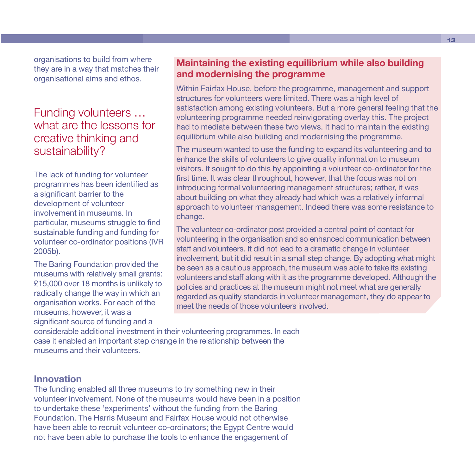organisations to build from where they are in a way that matches their organisational aims and ethos.

# Funding volunteers … what are the lessons for creative thinking and sustainability?

The lack of funding for volunteer programmes has been identified as a significant barrier to the development of volunteer involvement in museums. In particular, museums struggle to find sustainable funding and funding for volunteer co-ordinator positions (IVR 2005b).

The Baring Foundation provided the museums with relatively small grants: £15,000 over 18 months is unlikely to radically change the way in which an organisation works. For each of the museums, however, it was a significant source of funding and a

#### **Maintaining the existing equilibrium while also building and modernising the programme**

Within Fairfax House, before the programme, management and support structures for volunteers were limited. There was a high level of satisfaction among existing volunteers. But a more general feeling that the volunteering programme needed reinvigorating overlay this. The project had to mediate between these two views. It had to maintain the existing equilibrium while also building and modernising the programme.

The museum wanted to use the funding to expand its volunteering and to enhance the skills of volunteers to give quality information to museum visitors. It sought to do this by appointing a volunteer co-ordinator for the first time. It was clear throughout, however, that the focus was not on introducing formal volunteering management structures; rather, it was about building on what they already had which was a relatively informal approach to volunteer management. Indeed there was some resistance to change.

The volunteer co-ordinator post provided a central point of contact for volunteering in the organisation and so enhanced communication between staff and volunteers. It did not lead to a dramatic change in volunteer involvement, but it did result in a small step change. By adopting what might be seen as a cautious approach, the museum was able to take its existing volunteers and staff along with it as the programme developed. Although the policies and practices at the museum might not meet what are generally regarded as quality standards in volunteer management, they do appear to meet the needs of those volunteers involved.

considerable additional investment in their volunteering programmes. In each case it enabled an important step change in the relationship between the museums and their volunteers.

#### **Innovation**

The funding enabled all three museums to try something new in their volunteer involvement. None of the museums would have been in a position to undertake these 'experiments' without the funding from the Baring Foundation. The Harris Museum and Fairfax House would not otherwise have been able to recruit volunteer co-ordinators; the Egypt Centre would not have been able to purchase the tools to enhance the engagement of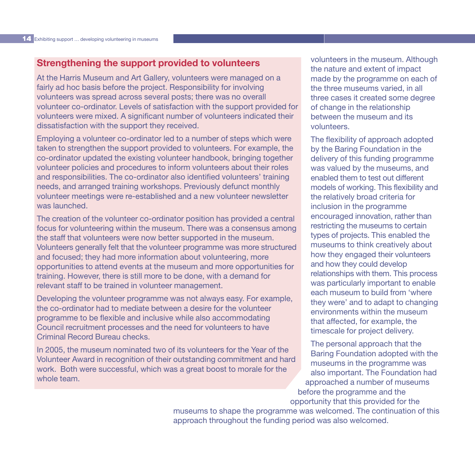#### **Strengthening the support provided to volunteers**

At the Harris Museum and Art Gallery, volunteers were managed on a fairly ad hoc basis before the project. Responsibility for involving volunteers was spread across several posts; there was no overall volunteer co-ordinator. Levels of satisfaction with the support provided for volunteers were mixed. A significant number of volunteers indicated their dissatisfaction with the support they received.

Employing a volunteer co-ordinator led to a number of steps which were taken to strengthen the support provided to volunteers. For example, the co-ordinator updated the existing volunteer handbook, bringing together volunteer policies and procedures to inform volunteers about their roles and responsibilities. The co-ordinator also identified volunteers' training needs, and arranged training workshops. Previously defunct monthly volunteer meetings were re-established and a new volunteer newsletter was launched.

The creation of the volunteer co-ordinator position has provided a central focus for volunteering within the museum. There was a consensus among the staff that volunteers were now better supported in the museum. Volunteers generally felt that the volunteer programme was more structured and focused; they had more information about volunteering, more opportunities to attend events at the museum and more opportunities for training. However, there is still more to be done, with a demand for relevant staff to be trained in volunteer management.

Developing the volunteer programme was not always easy. For example, the co-ordinator had to mediate between a desire for the volunteer programme to be flexible and inclusive while also accommodating Council recruitment processes and the need for volunteers to have Criminal Record Bureau checks.

In 2005, the museum nominated two of its volunteers for the Year of the Volunteer Award in recognition of their outstanding commitment and hard work. Both were successful, which was a great boost to morale for the whole team.

volunteers in the museum. Although the nature and extent of impact made by the programme on each of the three museums varied, in all three cases it created some degree of change in the relationship between the museum and its volunteers.

The flexibility of approach adopted by the Baring Foundation in the delivery of this funding programme was valued by the museums, and enabled them to test out different models of working. This flexibility and the relatively broad criteria for inclusion in the programme encouraged innovation, rather than restricting the museums to certain types of projects. This enabled the museums to think creatively about how they engaged their volunteers and how they could develop relationships with them. This process was particularly important to enable each museum to build from 'where they were' and to adapt to changing environments within the museum that affected, for example, the timescale for project delivery.

The personal approach that the Baring Foundation adopted with the museums in the programme was also important. The Foundation had approached a number of museums before the programme and the opportunity that this provided for the

museums to shape the programme was welcomed. The continuation of this approach throughout the funding period was also welcomed.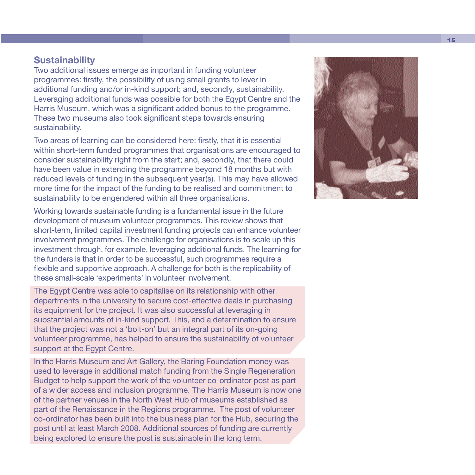#### **Sustainability**

Two additional issues emerge as important in funding volunteer programmes: firstly, the possibility of using small grants to lever in additional funding and/or in-kind support; and, secondly, sustainability. Leveraging additional funds was possible for both the Egypt Centre and the Harris Museum, which was a significant added bonus to the programme. These two museums also took significant steps towards ensuring sustainability.

Two areas of learning can be considered here: firstly, that it is essential within short-term funded programmes that organisations are encouraged to consider sustainability right from the start; and, secondly, that there could have been value in extending the programme beyond 18 months but with reduced levels of funding in the subsequent year(s). This may have allowed more time for the impact of the funding to be realised and commitment to sustainability to be engendered within all three organisations.

Working towards sustainable funding is a fundamental issue in the future development of museum volunteer programmes. This review shows that short-term, limited capital investment funding projects can enhance volunteer involvement programmes. The challenge for organisations is to scale up this investment through, for example, leveraging additional funds. The learning for the funders is that in order to be successful, such programmes require a flexible and supportive approach. A challenge for both is the replicability of these small-scale 'experiments' in volunteer involvement.

The Egypt Centre was able to capitalise on its relationship with other departments in the university to secure cost-effective deals in purchasing its equipment for the project. It was also successful at leveraging in substantial amounts of in-kind support. This, and a determination to ensure that the project was not a 'bolt-on' but an integral part of its on-going volunteer programme, has helped to ensure the sustainability of volunteer support at the Egypt Centre.

In the Harris Museum and Art Gallery, the Baring Foundation money was used to leverage in additional match funding from the Single Regeneration Budget to help support the work of the volunteer co-ordinator post as part of a wider access and inclusion programme. The Harris Museum is now one of the partner venues in the North West Hub of museums established as part of the Renaissance in the Regions programme. The post of volunteer co-ordinator has been built into the business plan for the Hub, securing the post until at least March 2008. Additional sources of funding are currently being explored to ensure the post is sustainable in the long term.

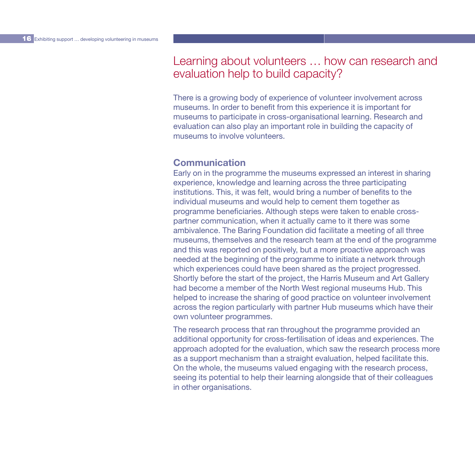### Learning about volunteers … how can research and evaluation help to build capacity?

There is a growing body of experience of volunteer involvement across museums. In order to benefit from this experience it is important for museums to participate in cross-organisational learning. Research and evaluation can also play an important role in building the capacity of museums to involve volunteers.

#### **Communication**

Early on in the programme the museums expressed an interest in sharing experience, knowledge and learning across the three participating institutions. This, it was felt, would bring a number of benefits to the individual museums and would help to cement them together as programme beneficiaries. Although steps were taken to enable crosspartner communication, when it actually came to it there was some ambivalence. The Baring Foundation did facilitate a meeting of all three museums, themselves and the research team at the end of the programme and this was reported on positively, but a more proactive approach was needed at the beginning of the programme to initiate a network through which experiences could have been shared as the project progressed. Shortly before the start of the project, the Harris Museum and Art Gallery had become a member of the North West regional museums Hub. This helped to increase the sharing of good practice on volunteer involvement across the region particularly with partner Hub museums which have their own volunteer programmes.

The research process that ran throughout the programme provided an additional opportunity for cross-fertilisation of ideas and experiences. The approach adopted for the evaluation, which saw the research process more as a support mechanism than a straight evaluation, helped facilitate this. On the whole, the museums valued engaging with the research process, seeing its potential to help their learning alongside that of their colleagues in other organisations.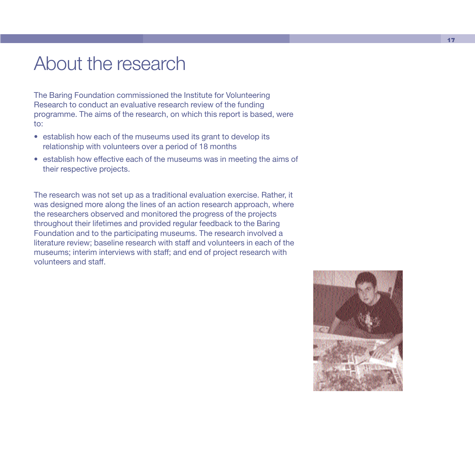# About the research

The Baring Foundation commissioned the Institute for Volunteering Research to conduct an evaluative research review of the funding programme. The aims of the research, on which this report is based, were to:

- establish how each of the museums used its grant to develop its relationship with volunteers over a period of 18 months
- establish how effective each of the museums was in meeting the aims of their respective projects.

The research was not set up as a traditional evaluation exercise. Rather, it was designed more along the lines of an action research approach, where the researchers observed and monitored the progress of the projects throughout their lifetimes and provided regular feedback to the Baring Foundation and to the participating museums. The research involved a literature review; baseline research with staff and volunteers in each of the museums; interim interviews with staff; and end of project research with volunteers and staff.

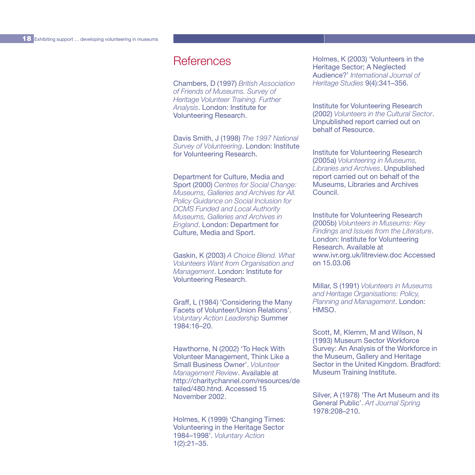# **References**

Chambers, D (1997) *British Association of Friends of Museums. Survey of Heritage Volunteer Training. Further Analysis*. London: Institute for Volunteering Research.

Davis Smith, J (1998) *The 1997 National Survey of Volunteering*. London: Institute for Volunteering Research.

Department for Culture, Media and Sport (2000) *Centres for Social Change: Museums, Galleries and Archives for All. Policy Guidance on Social Inclusion for DCMS Funded and Local Authority Museums, Galleries and Archives in England*. London: Department for Culture, Media and Sport.

Gaskin, K (2003) *A Choice Blend. What Volunteers Want from Organisation and Management*. London: Institute for Volunteering Research.

Graff, L (1984) 'Considering the Many Facets of Volunteer/Union Relations'. *Voluntary Action Leadership* Summer 1984:16–20.

Hawthorne, N (2002) 'To Heck With Volunteer Management, Think Like a Small Business Owner'. *Volunteer Management Review*. Available at http://charitychannel.com/resources/de tailed/480.htnd. Accessed 15 November 2002.

Holmes, K (1999) 'Changing Times: Volunteering in the Heritage Sector 1984–1998'. *Voluntary Action* 1(2):21–35.

Holmes, K (2003) 'Volunteers in the Heritage Sector; A Neglected Audience?' *International Journal of Heritage Studies* 9(4):341–356.

Institute for Volunteering Research (2002) *Volunteers in the Cultural Sector*. Unpublished report carried out on behalf of Resource.

Institute for Volunteering Research (2005a) *Volunteering in Museums, Libraries and Archives*. Unpublished report carried out on behalf of the Museums, Libraries and Archives Council.

Institute for Volunteering Research (2005b) *Volunteers in Museums: Key Findings and Issues from the Literature*. London: Institute for Volunteering Research. Available at www.ivr.org.uk/litreview.doc Accessed on 15.03.06

Millar, S (1991) *Volunteers in Museums and Heritage Organisations: Policy, Planning and Management*. London: HMSO.

Scott, M, Klemm, M and Wilson, N (1993) Museum Sector Workforce Survey: An Analysis of the Workforce in the Museum, Gallery and Heritage Sector in the United Kingdom. Bradford: Museum Training Institute.

Silver, A (1978) 'The Art Museum and its General Public'. *Art Journal Spring* 1978:208–210.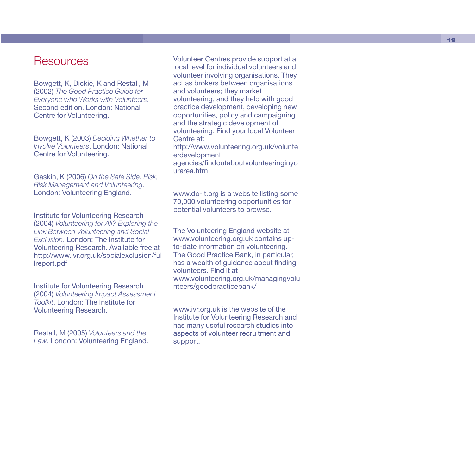### **Resources**

Bowgett, K, Dickie, K and Restall, M (2002) *The Good Practice Guide for Everyone who Works with Volunteers* . Second edition. London: National Centre for Volunteering.

Bowgett, K (2003) *Deciding Whether to Involve Volunteers*. London: National Centre for Volunteering.

Gaskin, K (2006) *On the Safe Side. Risk, Risk Management and Volunteering* . London: Volunteering England.

Institute for Volunteering Research (2004) *Volunteering for All? Exploring the Link Between Volunteering and Social Exclusion*. London: The Institute for Volunteering Research. Available free at http://www.ivr.org.uk/socialexclusion/ful lreport.pdf

Institute for Volunteering Research (2004) *Volunteering Impact Assessment Toolkit*. London: The Institute for Volunteering Research.

Restall, M (2005) *Volunteers and the Law*. London: Volunteering England.

Volunteer Centres provide support at a local level for individual volunteers and volunteer involving organisations. They act as brokers between organisations and volunteers; they market volunteering; and they help with good practice development, developing new opportunities, policy and campaigning and the strategic development of volunteering. Find your local Volunteer Centre at: http://www.volunteering.org.uk/volunte

erdevelopment agencies/findoutaboutvolunteeringinyo urarea.htm

www.do-it.org is a website listing some 70,000 volunteering opportunities for potential volunteers to browse.

The Volunteering England website at www.volunteering.org.uk contains upto-date information on volunteering. The Good Practice Bank, in particular, has a wealth of guidance about finding volunteers. Find it at www.volunteering.org.uk/managingvolu nteers/goodpracticebank/

www.ivr.org.uk is the website of the Institute for Volunteering Research and has many useful research studies into aspects of volunteer recruitment and support.